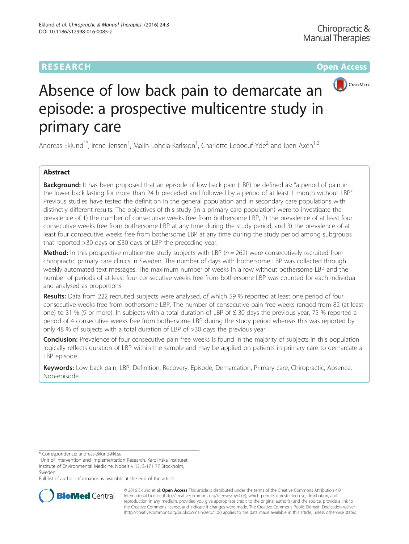# **RESEARCH CHEAR CHEAR CHEAR CHEAR CHEAR CHEAR CHEAR CHEAR CHEAR CHEAR CHEAR CHEAR CHEAR CHEAR CHEAR CHEAR CHEAR**



# Absence of low back pain to demarcate an episode: a prospective multicentre study in primary care

Andreas Eklund<sup>1\*</sup>, Irene Jensen<sup>1</sup>, Malin Lohela-Karlsson<sup>1</sup>, Charlotte Leboeuf-Yde<sup>2</sup> and Iben Axén<sup>1,2</sup>

## Abstract

**Background:** It has been proposed that an episode of low back pain (LBP) be defined as: "a period of pain in the lower back lasting for more than 24 h preceded and followed by a period of at least 1 month without LBP". Previous studies have tested the definition in the general population and in secondary care populations with distinctly different results. The objectives of this study (in a primary care population) were to investigate the prevalence of 1) the number of consecutive weeks free from bothersome LBP, 2) the prevalence of at least four consecutive weeks free from bothersome LBP at any time during the study period, and 3) the prevalence of at least four consecutive weeks free from bothersome LBP at any time during the study period among subgroups that reported >30 days or ≤30 days of LBP the preceding year.

**Method:** In this prospective multicentre study subjects with LBP ( $n = 262$ ) were consecutively recruited from chiropractic primary care clinics in Sweden. The number of days with bothersome LBP was collected through weekly automated text messages. The maximum number of weeks in a row without bothersome LBP and the number of periods of at least four consecutive weeks free from bothersome LBP was counted for each individual and analysed as proportions.

Results: Data from 222 recruited subjects were analysed, of which 59 % reported at least one period of four consecutive weeks free from bothersome LBP. The number of consecutive pain free weeks ranged from 82 (at least one) to 31 % (9 or more). In subjects with a total duration of LBP of ≤ 30 days the previous year, 75 % reported a period of 4 consecutive weeks free from bothersome LBP during the study period whereas this was reported by only 48 % of subjects with a total duration of LBP of >30 days the previous year.

**Conclusion:** Prevalence of four consecutive pain free weeks is found in the majority of subjects in this population logically reflects duration of LBP within the sample and may be applied on patients in primary care to demarcate a LBP episode.

Keywords: Low back pain, LBP, Definition, Recovery, Episode, Demarcation, Primary care, Chiropractic, Absence, Non-episode

\* Correspondence: [andreas.eklund@ki.se](mailto:andreas.eklund@ki.se) <sup>1</sup>

<sup>1</sup>Unit of Intervention and Implementation Research, Karolinska Institutet, Institute of Environmental Medicine, Nobels v 13, S-171 77 Stockholm, Sweden

Full list of author information is available at the end of the article



© 2016 Eklund et al. Open Access This article is distributed under the terms of the Creative Commons Attribution 4.0 International License [\(http://creativecommons.org/licenses/by/4.0/](http://creativecommons.org/licenses/by/4.0/)), which permits unrestricted use, distribution, and reproduction in any medium, provided you give appropriate credit to the original author(s) and the source, provide a link to the Creative Commons license, and indicate if changes were made. The Creative Commons Public Domain Dedication waiver [\(http://creativecommons.org/publicdomain/zero/1.0/](http://creativecommons.org/publicdomain/zero/1.0/)) applies to the data made available in this article, unless otherwise stated.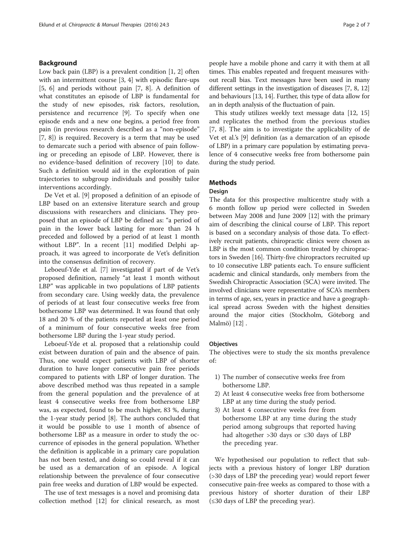#### Background

Low back pain (LBP) is a prevalent condition [\[1](#page-5-0), [2](#page-5-0)] often with an intermittent course [\[3, 4](#page-5-0)] with episodic flare-ups [[5, 6\]](#page-5-0) and periods without pain [\[7](#page-5-0), [8\]](#page-5-0). A definition of what constitutes an episode of LBP is fundamental for the study of new episodes, risk factors, resolution, persistence and recurrence [\[9](#page-5-0)]. To specify when one episode ends and a new one begins, a period free from pain (in previous research described as a "non-episode" [[7, 8\]](#page-5-0)) is required. Recovery is a term that may be used to demarcate such a period with absence of pain following or preceding an episode of LBP. However, there is no evidence-based definition of recovery [[10\]](#page-5-0) to date. Such a definition would aid in the exploration of pain trajectories to subgroup individuals and possibly tailor interventions accordingly.

De Vet et al. [[9](#page-5-0)] proposed a definition of an episode of LBP based on an extensive literature search and group discussions with researchers and clinicians. They proposed that an episode of LBP be defined as: "a period of pain in the lower back lasting for more than 24 h preceded and followed by a period of at least 1 month without LBP". In a recent [[11\]](#page-5-0) modified Delphi approach, it was agreed to incorporate de Vet's definition into the consensus definition of recovery.

Leboeuf-Yde et al. [\[7](#page-5-0)] investigated if part of de Vet's proposed definition, namely "at least 1 month without LBP" was applicable in two populations of LBP patients from secondary care. Using weekly data, the prevalence of periods of at least four consecutive weeks free from bothersome LBP was determined. It was found that only 18 and 20 % of the patients reported at least one period of a minimum of four consecutive weeks free from bothersome LBP during the 1-year study period.

Leboeuf-Yde et al. proposed that a relationship could exist between duration of pain and the absence of pain. Thus, one would expect patients with LBP of shorter duration to have longer consecutive pain free periods compared to patients with LBP of longer duration. The above described method was thus repeated in a sample from the general population and the prevalence of at least 4 consecutive weeks free from bothersome LBP was, as expected, found to be much higher, 83 %, during the 1-year study period [[8\]](#page-5-0). The authors concluded that it would be possible to use 1 month of absence of bothersome LBP as a measure in order to study the occurrence of episodes in the general population. Whether the definition is applicable in a primary care population has not been tested, and doing so could reveal if it can be used as a demarcation of an episode. A logical relationship between the prevalence of four consecutive pain free weeks and duration of LBP would be expected.

The use of text messages is a novel and promising data collection method [[12\]](#page-5-0) for clinical research, as most

people have a mobile phone and carry it with them at all times. This enables repeated and frequent measures without recall bias. Text messages have been used in many different settings in the investigation of diseases [\[7](#page-5-0), [8](#page-5-0), [12](#page-5-0)] and behaviours [\[13, 14](#page-5-0)]. Further, this type of data allow for an in depth analysis of the fluctuation of pain.

This study utilizes weekly text message data [\[12, 15](#page-5-0)] and replicates the method from the previous studies [[7](#page-5-0), [8](#page-5-0)]. The aim is to investigate the applicability of de Vet et al.'s [[9\]](#page-5-0) definition (as a demarcation of an episode of LBP) in a primary care population by estimating prevalence of 4 consecutive weeks free from bothersome pain during the study period.

#### Methods

#### Design

The data for this prospective multicentre study with a 6 month follow up period were collected in Sweden between May 2008 and June 2009 [\[12](#page-5-0)] with the primary aim of describing the clinical course of LBP. This report is based on a secondary analysis of those data. To effectively recruit patients, chiropractic clinics were chosen as LBP is the most common condition treated by chiropractors in Sweden [\[16\]](#page-5-0). Thirty-five chiropractors recruited up to 10 consecutive LBP patients each. To ensure sufficient academic and clinical standards, only members from the Swedish Chiropractic Association (SCA) were invited. The involved clinicians were representative of SCA's members in terms of age, sex, years in practice and have a geographical spread across Sweden with the highest densities around the major cities (Stockholm, Göteborg and Malmö) [\[12](#page-5-0)] .

#### **Objectives**

The objectives were to study the six months prevalence of:

- 1) The number of consecutive weeks free from bothersome LBP.
- 2) At least 4 consecutive weeks free from bothersome LBP at any time during the study period.
- 3) At least 4 consecutive weeks free from bothersome LBP at any time during the study period among subgroups that reported having had altogether >30 days or ≤30 days of LBP the preceding year.

We hypothesised our population to reflect that subjects with a previous history of longer LBP duration (>30 days of LBP the preceding year) would report fewer consecutive pain-free weeks as compared to those with a previous history of shorter duration of their LBP (≤30 days of LBP the preceding year).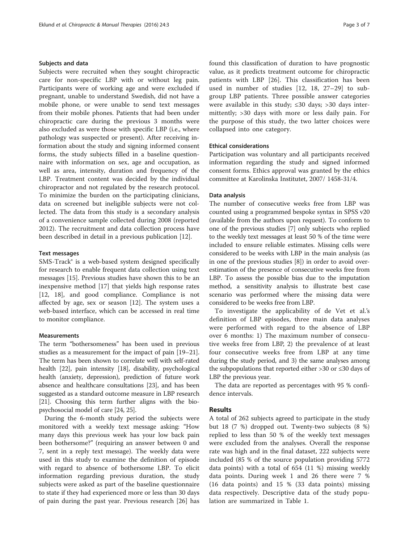#### Subjects and data

Subjects were recruited when they sought chiropractic care for non-specific LBP with or without leg pain. Participants were of working age and were excluded if pregnant, unable to understand Swedish, did not have a mobile phone, or were unable to send text messages from their mobile phones. Patients that had been under chiropractic care during the previous 3 months were also excluded as were those with specific LBP (i.e., where pathology was suspected or present). After receiving information about the study and signing informed consent forms, the study subjects filled in a baseline questionnaire with information on sex, age and occupation, as well as area, intensity, duration and frequency of the LBP. Treatment content was decided by the individual chiropractor and not regulated by the research protocol. To minimize the burden on the participating clinicians, data on screened but ineligible subjects were not collected. The data from this study is a secondary analysis of a convenience sample collected during 2008 (reported 2012). The recruitment and data collection process have been described in detail in a previous publication [[12](#page-5-0)].

#### Text messages

SMS-Track® is a web-based system designed specifically for research to enable frequent data collection using text messages [\[15](#page-5-0)]. Previous studies have shown this to be an inexpensive method [\[17](#page-5-0)] that yields high response rates [[12, 18\]](#page-5-0), and good compliance. Compliance is not affected by age, sex or season [\[12\]](#page-5-0). The system uses a web-based interface, which can be accessed in real time to monitor compliance.

#### **Measurements**

The term "bothersomeness" has been used in previous studies as a measurement for the impact of pain [\[19](#page-5-0)–[21](#page-6-0)]. The term has been shown to correlate well with self-rated health [[22](#page-6-0)], pain intensity [\[18](#page-5-0)], disability, psychological health (anxiety, depression), prediction of future work absence and healthcare consultations [\[23](#page-6-0)], and has been suggested as a standard outcome measure in LBP research [[21](#page-6-0)]. Choosing this term further aligns with the biopsychosocial model of care [[24](#page-6-0), [25\]](#page-6-0).

During the 6-month study period the subjects were monitored with a weekly text message asking: "How many days this previous week has your low back pain been bothersome?" (requiring an answer between 0 and 7, sent in a reply text message). The weekly data were used in this study to examine the definition of episode with regard to absence of bothersome LBP. To elicit information regarding previous duration, the study subjects were asked as part of the baseline questionnaire to state if they had experienced more or less than 30 days of pain during the past year. Previous research [\[26\]](#page-6-0) has found this classification of duration to have prognostic value, as it predicts treatment outcome for chiropractic patients with LBP [\[26](#page-6-0)]. This classification has been used in number of studies [[12, 18,](#page-5-0) [27](#page-6-0)–[29\]](#page-6-0) to subgroup LBP patients. Three possible answer categories were available in this study;  $\leq 30$  days;  $> 30$  days intermittently; >30 days with more or less daily pain. For the purpose of this study, the two latter choices were collapsed into one category.

#### Ethical considerations

Participation was voluntary and all participants received information regarding the study and signed informed consent forms. Ethics approval was granted by the ethics committee at Karolinska Institutet, 2007/ 1458-31/4.

#### Data analysis

The number of consecutive weeks free from LBP was counted using a programmed bespoke syntax in SPSS v20 (available from the authors upon request). To conform to one of the previous studies [[7](#page-5-0)] only subjects who replied to the weekly text messages at least 50 % of the time were included to ensure reliable estimates. Missing cells were considered to be weeks with LBP in the main analysis (as in one of the previous studies [[8\]](#page-5-0)) in order to avoid overestimation of the presence of consecutive weeks free from LBP. To assess the possible bias due to the imputation method, a sensitivity analysis to illustrate best case scenario was performed where the missing data were considered to be weeks free from LBP.

To investigate the applicability of de Vet et al.'s definition of LBP episodes, three main data analyses were performed with regard to the absence of LBP over 6 months: 1) The maximum number of consecutive weeks free from LBP, 2) the prevalence of at least four consecutive weeks free from LBP at any time during the study period, and 3) the same analyses among the subpopulations that reported either >30 or ≤30 days of LBP the previous year.

The data are reported as percentages with 95 % confidence intervals.

#### Results

A total of 262 subjects agreed to participate in the study but 18 (7 %) dropped out. Twenty-two subjects (8 %) replied to less than 50 % of the weekly text messages were excluded from the analyses. Overall the response rate was high and in the final dataset, 222 subjects were included (85 % of the source population providing 5772 data points) with a total of 654 (11 %) missing weekly data points. During week 1 and 26 there were 7 % (16 data points) and 15 % (33 data points) missing data respectively. Descriptive data of the study population are summarized in Table [1](#page-3-0).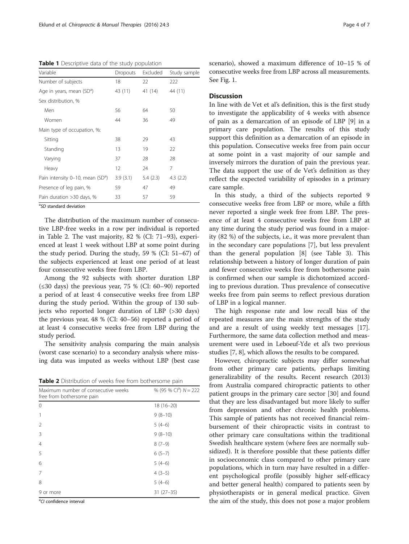<span id="page-3-0"></span>Table 1 Descriptive data of the study population

| Variable                              | <b>Dropouts</b> | Excluded | Study sample |
|---------------------------------------|-----------------|----------|--------------|
| Number of subjects                    | 18              | 22       | 222          |
| Age in years, mean (SD <sup>a</sup> ) | 43 (11)         | 41 (14)  | 44 (11)      |
| Sex distribution, %                   |                 |          |              |
| Men                                   | 56              | 64       | 50           |
| Women                                 | 44              | 36       | 49           |
| Main type of occupation, %:           |                 |          |              |
| Sitting                               | 38              | 29       | 43           |
| Standing                              | 13              | 19       | 22           |
| Varying                               | 37              | 28       | 28           |
| Heavy                                 | 12              | 24       | 7            |
| Pain intensity 0-10, mean $(SDa)$     | 3.9(3.1)        | 5.4(2.3) | 4.3(2.2)     |
| Presence of leg pain, %               | 59              | 47       | 49           |
| Pain duration > 30 days, %            | 33              | 57       | 59           |

<sup>a</sup>SD standard deviation

The distribution of the maximum number of consecutive LBP-free weeks in a row per individual is reported in Table 2. The vast majority, 82 % (CI: 71–93), experienced at least 1 week without LBP at some point during the study period. During the study, 59 % (CI: 51–67) of the subjects experienced at least one period of at least four consecutive weeks free from LBP.

Among the 92 subjects with shorter duration LBP  $(\leq 30$  days) the previous year, 75 % (CI: 60–90) reported a period of at least 4 consecutive weeks free from LBP during the study period. Within the group of 130 subjects who reported longer duration of LBP (>30 days) the previous year, 48 % (CI: 40–56) reported a period of at least 4 consecutive weeks free from LBP during the study period.

The sensitivity analysis comparing the main analysis (worst case scenario) to a secondary analysis where missing data was imputed as weeks without LBP (best case

| <b>Table 2</b> Distribution of weeks free from bothersome pain |  |  |
|----------------------------------------------------------------|--|--|
|----------------------------------------------------------------|--|--|

| Maximum number of consecutive weeks<br>free from bothersome pain | % (95 % Cl <sup>a</sup> ) $N = 222$ |
|------------------------------------------------------------------|-------------------------------------|
| $\Omega$                                                         | $18(16 - 20)$                       |
|                                                                  | $9(8-10)$                           |
| $\mathcal{L}$                                                    | $5(4-6)$                            |
| 3                                                                | $9(8-10)$                           |
| $\overline{4}$                                                   | $8(7-9)$                            |
| 5                                                                | $6(5-7)$                            |
| 6                                                                | $5(4-6)$                            |
| 7                                                                | $4(3-5)$                            |
| 8                                                                | $5(4-6)$                            |
| 9 or more                                                        | $31(27-35)$                         |
|                                                                  |                                     |

<sup>a</sup>CI confidence interval

scenario), showed a maximum difference of 10–15 % of consecutive weeks free from LBP across all measurements. See Fig. [1.](#page-4-0)

#### **Discussion**

In line with de Vet et al's definition, this is the first study to investigate the applicability of 4 weeks with absence of pain as a demarcation of an episode of LBP [\[9](#page-5-0)] in a primary care population. The results of this study support this definition as a demarcation of an episode in this population. Consecutive weeks free from pain occur at some point in a vast majority of our sample and inversely mirrors the duration of pain the previous year. The data support the use of de Vet's definition as they reflect the expected variability of episodes in a primary care sample.

In this study, a third of the subjects reported 9 consecutive weeks free from LBP or more, while a fifth never reported a single week free from LBP. The presence of at least 4 consecutive weeks free from LBP at any time during the study period was found in a majority (82 %) of the subjects, i.e., it was more prevalent than in the secondary care populations [[7\]](#page-5-0), but less prevalent than the general population [[8\]](#page-5-0) (see Table [3\)](#page-4-0). This relationship between a history of longer duration of pain and fewer consecutive weeks free from bothersome pain is confirmed when our sample is dichotomized according to previous duration. Thus prevalence of consecutive weeks free from pain seems to reflect previous duration of LBP in a logical manner.

The high response rate and low recall bias of the repeated measures are the main strengths of the study and are a result of using weekly text messages [\[17](#page-5-0)]. Furthermore, the same data collection method and measurement were used in Leboeuf-Yde et al's two previous studies [\[7, 8](#page-5-0)], which allows the results to be compared.

However, chiropractic subjects may differ somewhat from other primary care patients, perhaps limiting generalizability of the results. Recent research (2013) from Australia compared chiropractic patients to other patient groups in the primary care sector [\[30](#page-6-0)] and found that they are less disadvantaged but more likely to suffer from depression and other chronic health problems. This sample of patients has not received financial reimbursement of their chiropractic visits in contrast to other primary care consultations within the traditional Swedish healthcare system (where fees are normally subsidized). It is therefore possible that these patients differ in socioeconomic class compared to other primary care populations, which in turn may have resulted in a different psychological profile (possibly higher self-efficacy and better general health) compared to patients seen by physiotherapists or in general medical practice. Given the aim of the study, this does not pose a major problem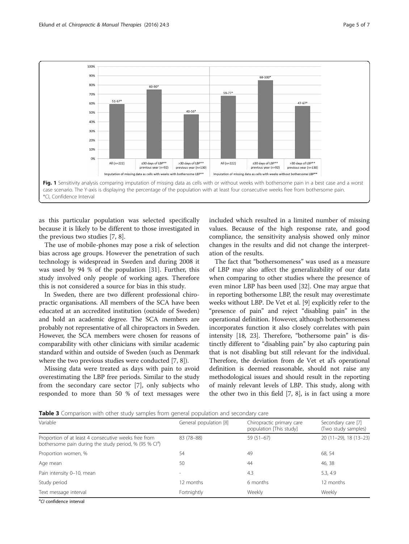<span id="page-4-0"></span>

as this particular population was selected specifically because it is likely to be different to those investigated in the previous two studies [[7](#page-5-0), [8](#page-5-0)].

The use of mobile-phones may pose a risk of selection bias across age groups. However the penetration of such technology is widespread in Sweden and during 2008 it was used by 94 % of the population [[31\]](#page-6-0). Further, this study involved only people of working ages. Therefore this is not considered a source for bias in this study.

In Sweden, there are two different professional chiropractic organisations. All members of the SCA have been educated at an accredited institution (outside of Sweden) and hold an academic degree. The SCA members are probably not representative of all chiropractors in Sweden. However, the SCA members were chosen for reasons of comparability with other clinicians with similar academic standard within and outside of Sweden (such as Denmark where the two previous studies were conducted [\[7](#page-5-0), [8\]](#page-5-0)).

Missing data were treated as days with pain to avoid overestimating the LBP free periods. Similar to the study from the secondary care sector [[7\]](#page-5-0), only subjects who responded to more than 50 % of text messages were included which resulted in a limited number of missing values. Because of the high response rate, and good compliance, the sensitivity analysis showed only minor changes in the results and did not change the interpretation of the results.

The fact that "bothersomeness" was used as a measure of LBP may also affect the generalizability of our data when comparing to other studies where the presence of even minor LBP has been used [\[32](#page-6-0)]. One may argue that in reporting bothersome LBP, the result may overestimate weeks without LBP. De Vet et al. [[9](#page-5-0)] explicitly refer to the "presence of pain" and reject "disabling pain" in the operational definition. However, although bothersomeness incorporates function it also closely correlates with pain intensity [\[18,](#page-5-0) [23](#page-6-0)]. Therefore, "bothersome pain" is distinctly different to "disabling pain" by also capturing pain that is not disabling but still relevant for the individual. Therefore, the deviation from de Vet et al's operational definition is deemed reasonable, should not raise any methodological issues and should result in the reporting of mainly relevant levels of LBP. This study, along with the other two in this field [\[7](#page-5-0), [8\]](#page-5-0), is in fact using a more

**Table 3** Comparison with other study samples from general population and secondary care

| Variable                                                                                                                   | General population [8] | Chiropractic primary care<br>population [This study] | Secondary care [7]<br>(Two study samples) |
|----------------------------------------------------------------------------------------------------------------------------|------------------------|------------------------------------------------------|-------------------------------------------|
| Proportion of at least 4 consecutive weeks free from<br>bothersome pain during the study period, % (95 % Cl <sup>a</sup> ) | 83 (78-88)             | $59(51-67)$                                          | 20 (11-29), 18 (13-23)                    |
| Proportion women, %                                                                                                        | 54                     | 49                                                   | 68, 54                                    |
| Age mean                                                                                                                   | 50                     | 44                                                   | 46, 38                                    |
| Pain intensity 0-10, mean                                                                                                  | -                      | 4.3                                                  | 5.3, 4.9                                  |
| Study period                                                                                                               | 12 months              | 6 months                                             | 12 months                                 |
| Text message interval                                                                                                      | Fortnightly            | Weekly                                               | Weekly                                    |

<sup>a</sup>CI confidence interval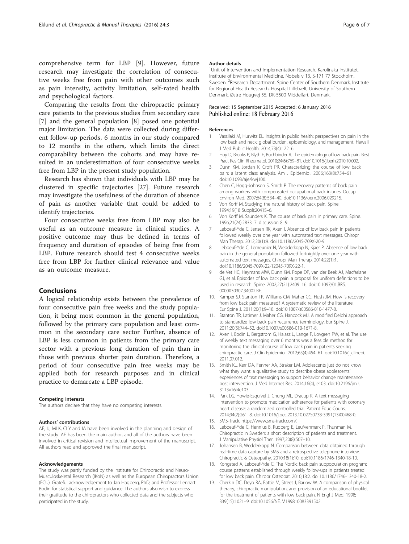<span id="page-5-0"></span>comprehensive term for LBP [9]. However, future research may investigate the correlation of consecutive weeks free from pain with other outcomes such as pain intensity, activity limitation, self-rated health and psychological factors.

Comparing the results from the chiropractic primary care patients to the previous studies from secondary care [7] and the general population [8] posed one potential major limitation. The data were collected during different follow-up periods, 6 months in our study compared to 12 months in the others, which limits the direct comparability between the cohorts and may have resulted in an underestimation of four consecutive weeks free from LBP in the present study population.

Research has shown that individuals with LBP may be clustered in specific trajectories [[27\]](#page-6-0). Future research may investigate the usefulness of the duration of absence of pain as another variable that could be added to identify trajectories.

Four consecutive weeks free from LBP may also be useful as an outcome measure in clinical studies. A positive outcome may thus be defined in terms of frequency and duration of episodes of being free from LBP. Future research should test 4 consecutive weeks free from LBP for further clinical relevance and value as an outcome measure.

#### Conclusions

A logical relationship exists between the prevalence of four consecutive pain free weeks and the study population, it being most common in the general population, followed by the primary care population and least common in the secondary care sector Further, absence of LBP is less common in patients from the primary care sector with a previous long duration of pain than in those with previous shorter pain duration. Therefore, a period of four consecutive pain free weeks may be applied both for research purposes and in clinical practice to demarcate a LBP episode.

#### Competing interests

The authors declare that they have no competing interests.

#### Authors' contributions

AE, IJ, MLK, CLY and IA have been involved in the planning and design of the study. AE has been the main author, and all of the authors have been involved in critical revision and intellectual improvement of the manuscript. All authors read and approved the final manuscript.

#### Acknowledgements

The study was partly funded by the Institute for Chiropractic and Neuro-Musculoskeletal Research (IKoN) as well as the European Chiropractors Union (ECU). Grateful acknowledgement to Jan Hagberg, PhD, and Professor Lennart Bodin for statistical support and guidance. The authors also wish to express their gratitude to the chiropractors who collected data and the subjects who participated in the study.

#### Author details

<sup>1</sup>Unit of Intervention and Implementation Research, Karolinska Institutet Institute of Environmental Medicine, Nobels v 13, S-171 77 Stockholm, Sweden. <sup>2</sup>Research Department, Spine Center of Southern Denmark, Institute for Regional Health Research, Hospital Lillebælt, University of Southern Denmark, Østre Hougvej 55, DK-5500 Middelfart, Denmark.

#### Received: 15 September 2015 Accepted: 6 January 2016 Published online: 18 February 2016

#### References

- 1. Vassilaki M, Hurwitz EL. Insights in public health: perspectives on pain in the low back and neck: global burden, epidemiology, and management. Hawaii J Med Public Health. 2014;73(4):122–6.
- 2. Hoy D, Brooks P, Blyth F, Buchbinder R. The epidemiology of low back pain. Best Pract Res Clin Rheumatol. 2010;24(6):769–81. doi[:10.1016/j.berh.2010.10.002.](http://dx.doi.org/10.1016/j.berh.2010.10.002)
- 3. Dunn KM, Jordan K, Croft PR. Characterizing the course of low back pain: a latent class analysis. Am J Epidemiol. 2006;163(8):754–61. doi[:10.1093/aje/kwj100](http://dx.doi.org/10.1093/aje/kwj100).
- 4. Chen C, Hogg-Johnson S, Smith P. The recovery patterns of back pain among workers with compensated occupational back injuries. Occup Environ Med. 2007;64(8):534–40. doi:[10.1136/oem.2006.029215](http://dx.doi.org/10.1136/oem.2006.029215).
- 5. Von Korff M. Studying the natural history of back pain. Spine. 1994;19(18 Suppl):2041S–6.
- 6. Von Korff M, Saunders K. The course of back pain in primary care. Spine. 1996;21(24):2833–7. discussion 8–9.
- 7. Leboeuf-Yde C, Jensen RK, Axen I. Absence of low back pain in patients followed weekly over one year with automated text messages. Chiropr Man Therap. 2012;20(1):9. doi[:10.1186/2045-709X-20-9.](http://dx.doi.org/10.1186/2045-709X-20-9)
- 8. Leboeuf-Yde C, Lemeunier N, Wedderkopp N, Kjaer P. Absence of low back pain in the general population followed fortnightly over one year with automated text messages. Chiropr Man Therap. 2014;22(1):1. doi[:10.1186/2045-709X-22-12045-709X-22-1.](http://dx.doi.org/10.1186/2045-709X-22-12045-709X-22-1)
- 9. de Vet HC, Heymans MW, Dunn KM, Pope DP, van der Beek AJ, Macfarlane GJ, et al. Episodes of low back pain: a proposal for uniform definitions to be used in research. Spine. 2002;27(21):2409–16. doi:[10.1097/01.BRS.](http://dx.doi.org/10.1097/01.BRS.0000030307.34002.BE) [0000030307.34002.BE](http://dx.doi.org/10.1097/01.BRS.0000030307.34002.BE).
- 10. Kamper SJ, Stanton TR, Williams CM, Maher CG, Hush JM. How is recovery from low back pain measured? A systematic review of the literature. Eur Spine J. 2011;20(1):9–18. doi[:10.1007/s00586-010-1477-8](http://dx.doi.org/10.1007/s00586-010-1477-8).
- 11. Stanton TR, Latimer J, Maher CG, Hancock MJ. A modified Delphi approach to standardize low back pain recurrence terminology. Eur Spine J. 2011;20(5):744–52. doi:[10.1007/s00586-010-1671-8](http://dx.doi.org/10.1007/s00586-010-1671-8).
- 12. Axen I, Bodin L, Bergstrom G, Halasz L, Lange F, Lovgren PW, et al. The use of weekly text messaging over 6 months was a feasible method for monitoring the clinical course of low back pain in patients seeking chiropractic care. J Clin Epidemiol. 2012;65(4):454–61. doi:[10.1016/j.jclinepi.](http://dx.doi.org/10.1016/j.jclinepi.2011.07.012) [2011.07.012.](http://dx.doi.org/10.1016/j.jclinepi.2011.07.012)
- 13. Smith KL, Kerr DA, Fenner AA, Straker LM. Adolescents just do not know what they want: a qualitative study to describe obese adolescents' experiences of text messaging to support behavior change maintenance post intervention. J Med Internet Res. 2014;16(4), e103. doi[:10.2196/jmir.](http://dx.doi.org/10.2196/jmir.3113v16i4e103) [3113v16i4e103.](http://dx.doi.org/10.2196/jmir.3113v16i4e103)
- 14. Park LG, Howie-Esquivel J, Chung ML, Dracup K. A text messaging intervention to promote medication adherence for patients with coronary heart disease: a randomized controlled trial. Patient Educ Couns. 2014;94(2):261–8. doi:[10.1016/j.pec.2013.10.027S0738-3991\(13\)00468-0.](http://dx.doi.org/10.1016/j.pec.2013.10.027S0738-3991(13)00468-0)
- 15. SMS-Track. [https://www.sms-track.com/.](https://www.sms-track.com/)
- 16. Leboeuf-Yde C, Hennius B, Rudberg E, Leufvenmark P, Thunman M. Chiropractic in Sweden: a short description of patients and treatment. J Manipulative Physiol Ther. 1997;20(8):507–10.
- 17. Johansen B, Wedderkopp N. Comparison between data obtained through real-time data capture by SMS and a retrospective telephone interview. Chiropractic & Osteopathy. 2010;18(1):10. doi:[10.1186/1746-1340-18-10.](http://dx.doi.org/10.1186/1746-1340-18-10)
- 18. Kongsted A, Leboeuf-Yde C. The Nordic back pain subpopulation program: course patterns established through weekly follow-ups in patients treated for low back pain. Chiropr Osteopat. 2010;18:2. doi[:10.1186/1746-1340-18-2](http://dx.doi.org/10.1186/1746-1340-18-2).
- 19. Cherkin DC, Deyo RA, Battie M, Street J, Barlow W. A comparison of physical therapy, chiropractic manipulation, and provision of an educational booklet for the treatment of patients with low back pain. N Engl J Med. 1998; 339(15):1021–9. doi:[10.1056/NEJM199810083391502.](http://dx.doi.org/10.1056/NEJM199810083391502)